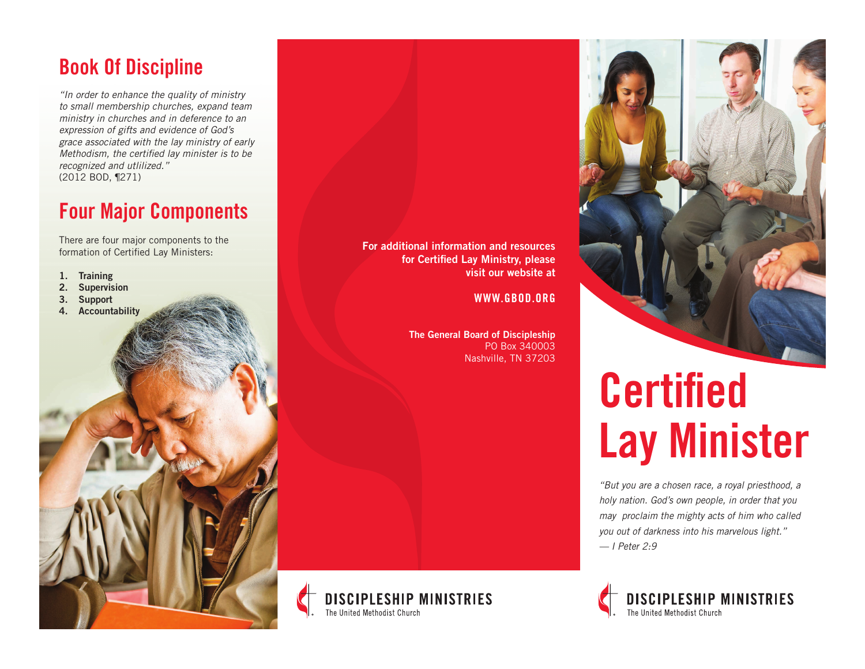### Book Of Discipline

*"In order to enhance the quality of ministry to small membership churches, expand team ministry in churches and in deference to an expression of gifts and evidence of God's grace associated with the lay ministry of early Methodism, the certified lay minister is to be recognized and utlilized."* (2012 BOD, ¶271)

### Four Major Components

There are four major components to the formation of Certified Lay Ministers:

- 1. Training
- 2. Supervision
- 3. Support
- 4. Accountability



WWW.GBOD.ORG

The General Board of Discipleship PO Box 340003 Nashville, TN 37203





# Certified Lay Minister

*"But you are a chosen race, a royal priesthood, a holy nation. God's own people, in order that you may proclaim the mighty acts of him who called you out of darkness into his marvelous light." — I Peter 2:9*